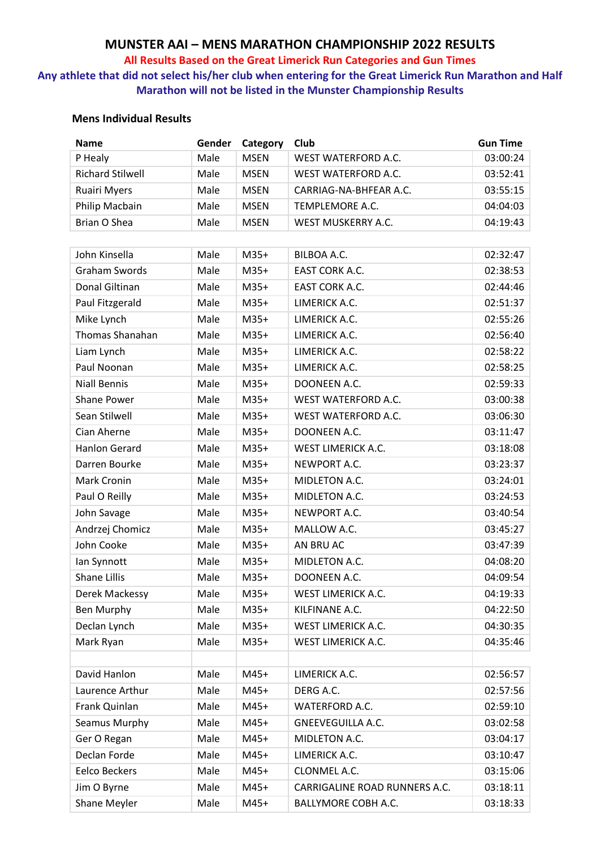# **MUNSTER AAI – MENS MARATHON CHAMPIONSHIP 2022 RESULTS**

#### **All Results Based on the Great Limerick Run Categories and Gun Times**

**Any athlete that did not select his/her club when entering for the Great Limerick Run Marathon and Half Marathon will not be listed in the Munster Championship Results**

## **Mens Individual Results**

| <b>Name</b>             | Gender | Category    | Club                          | <b>Gun Time</b> |
|-------------------------|--------|-------------|-------------------------------|-----------------|
| P Healy                 | Male   | <b>MSEN</b> | WEST WATERFORD A.C.           | 03:00:24        |
| <b>Richard Stilwell</b> | Male   | <b>MSEN</b> | WEST WATERFORD A.C.           | 03:52:41        |
| <b>Ruairi Myers</b>     | Male   | <b>MSEN</b> | CARRIAG-NA-BHFEAR A.C.        | 03:55:15        |
| Philip Macbain          | Male   | <b>MSEN</b> | TEMPLEMORE A.C.               | 04:04:03        |
| Brian O Shea            | Male   | <b>MSEN</b> | WEST MUSKERRY A.C.            | 04:19:43        |
|                         |        |             |                               |                 |
| John Kinsella           | Male   | $M35+$      | BILBOA A.C.                   | 02:32:47        |
| <b>Graham Swords</b>    | Male   | $M35+$      | <b>EAST CORK A.C.</b>         | 02:38:53        |
| Donal Giltinan          | Male   | $M35+$      | EAST CORK A.C.                | 02:44:46        |
| Paul Fitzgerald         | Male   | $M35+$      | LIMERICK A.C.                 | 02:51:37        |
| Mike Lynch              | Male   | $M35+$      | LIMERICK A.C.                 | 02:55:26        |
| Thomas Shanahan         | Male   | $M35+$      | LIMERICK A.C.                 | 02:56:40        |
| Liam Lynch              | Male   | $M35+$      | LIMERICK A.C.                 | 02:58:22        |
| Paul Noonan             | Male   | $M35+$      | LIMERICK A.C.                 | 02:58:25        |
| <b>Niall Bennis</b>     | Male   | $M35+$      | DOONEEN A.C.                  | 02:59:33        |
| Shane Power             | Male   | $M35+$      | WEST WATERFORD A.C.           | 03:00:38        |
| Sean Stilwell           | Male   | $M35+$      | WEST WATERFORD A.C.           | 03:06:30        |
| Cian Aherne             | Male   | $M35+$      | DOONEEN A.C.                  | 03:11:47        |
| <b>Hanlon Gerard</b>    | Male   | $M35+$      | WEST LIMERICK A.C.            | 03:18:08        |
| Darren Bourke           | Male   | $M35+$      | NEWPORT A.C.                  | 03:23:37        |
| <b>Mark Cronin</b>      | Male   | $M35+$      | MIDLETON A.C.                 | 03:24:01        |
| Paul O Reilly           | Male   | $M35+$      | MIDLETON A.C.                 | 03:24:53        |
| John Savage             | Male   | $M35+$      | NEWPORT A.C.                  | 03:40:54        |
| Andrzej Chomicz         | Male   | $M35+$      | MALLOW A.C.                   | 03:45:27        |
| John Cooke              | Male   | $M35+$      | AN BRU AC                     | 03:47:39        |
| lan Synnott             | Male   | $M35+$      | MIDLETON A.C.                 | 04:08:20        |
| <b>Shane Lillis</b>     | Male   | $M35+$      | DOONEEN A.C.                  | 04:09:54        |
| Derek Mackessy          | Male   | $M35+$      | WEST LIMERICK A.C.            | 04:19:33        |
| Ben Murphy              | Male   | $M35+$      | KILFINANE A.C.                | 04:22:50        |
| Declan Lynch            | Male   | $M35+$      | WEST LIMERICK A.C.            | 04:30:35        |
| Mark Ryan               | Male   | $M35+$      | WEST LIMERICK A.C.            | 04:35:46        |
|                         |        |             |                               |                 |
| David Hanlon            | Male   | $M45+$      | LIMERICK A.C.                 | 02:56:57        |
| Laurence Arthur         | Male   | $M45+$      | DERG A.C.                     | 02:57:56        |
| Frank Quinlan           | Male   | $M45+$      | <b>WATERFORD A.C.</b>         | 02:59:10        |
| Seamus Murphy           | Male   | $M45+$      | <b>GNEEVEGUILLA A.C.</b>      | 03:02:58        |
| Ger O Regan             | Male   | $M45+$      | MIDLETON A.C.                 | 03:04:17        |
| Declan Forde            | Male   | $M45+$      | LIMERICK A.C.                 | 03:10:47        |
| <b>Eelco Beckers</b>    | Male   | $M45+$      | CLONMEL A.C.                  | 03:15:06        |
| Jim O Byrne             | Male   | M45+        | CARRIGALINE ROAD RUNNERS A.C. | 03:18:11        |
| Shane Meyler            | Male   | $M45+$      | <b>BALLYMORE COBH A.C.</b>    | 03:18:33        |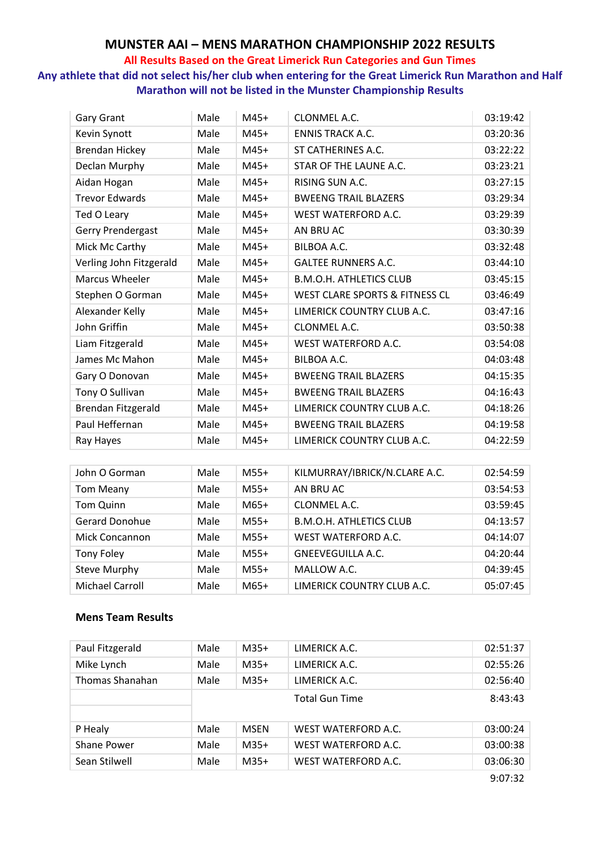## **MUNSTER AAI – MENS MARATHON CHAMPIONSHIP 2022 RESULTS**

#### **All Results Based on the Great Limerick Run Categories and Gun Times**

**Any athlete that did not select his/her club when entering for the Great Limerick Run Marathon and Half Marathon will not be listed in the Munster Championship Results**

| Gary Grant              | Male | $M45+$ | CLONMEL A.C.                              | 03:19:42 |
|-------------------------|------|--------|-------------------------------------------|----------|
| Kevin Synott            | Male | $M45+$ | <b>ENNIS TRACK A.C.</b>                   | 03:20:36 |
| <b>Brendan Hickey</b>   | Male | $M45+$ | ST CATHERINES A.C.                        | 03:22:22 |
| Declan Murphy           | Male | $M45+$ | STAR OF THE LAUNE A.C.                    | 03:23:21 |
| Aidan Hogan             | Male | $M45+$ | RISING SUN A.C.                           | 03:27:15 |
| <b>Trevor Edwards</b>   | Male | $M45+$ | <b>BWEENG TRAIL BLAZERS</b>               | 03:29:34 |
| Ted O Leary             | Male | $M45+$ | WEST WATERFORD A.C.                       | 03:29:39 |
| Gerry Prendergast       | Male | $M45+$ | AN BRU AC                                 | 03:30:39 |
| Mick Mc Carthy          | Male | $M45+$ | BILBOA A.C.                               | 03:32:48 |
| Verling John Fitzgerald | Male | $M45+$ | <b>GALTEE RUNNERS A.C.</b>                | 03:44:10 |
| <b>Marcus Wheeler</b>   | Male | $M45+$ | <b>B.M.O.H. ATHLETICS CLUB</b>            | 03:45:15 |
| Stephen O Gorman        | Male | $M45+$ | <b>WEST CLARE SPORTS &amp; FITNESS CL</b> | 03:46:49 |
| Alexander Kelly         | Male | $M45+$ | LIMERICK COUNTRY CLUB A.C.                | 03:47:16 |
| John Griffin            | Male | $M45+$ | CLONMEL A.C.                              | 03:50:38 |
| Liam Fitzgerald         | Male | $M45+$ | WEST WATERFORD A.C.                       | 03:54:08 |
| James Mc Mahon          | Male | $M45+$ | BILBOA A.C.                               | 04:03:48 |
| Gary O Donovan          | Male | $M45+$ | <b>BWEENG TRAIL BLAZERS</b>               | 04:15:35 |
| Tony O Sullivan         | Male | $M45+$ | <b>BWEENG TRAIL BLAZERS</b>               | 04:16:43 |
| Brendan Fitzgerald      | Male | $M45+$ | LIMERICK COUNTRY CLUB A.C.                | 04:18:26 |
| Paul Heffernan          | Male | $M45+$ | <b>BWEENG TRAIL BLAZERS</b>               | 04:19:58 |
| Ray Hayes               | Male | $M45+$ | LIMERICK COUNTRY CLUB A.C.                | 04:22:59 |

| John O Gorman         | Male | $M55+$ | KILMURRAY/IBRICK/N.CLARE A.C.  | 02:54:59 |
|-----------------------|------|--------|--------------------------------|----------|
| <b>Tom Meany</b>      | Male | $M55+$ | AN BRU AC                      | 03:54:53 |
| Tom Quinn             | Male | $M65+$ | CLONMEL A.C.                   | 03:59:45 |
| <b>Gerard Donohue</b> | Male | $M55+$ | <b>B.M.O.H. ATHLETICS CLUB</b> | 04:13:57 |
| Mick Concannon        | Male | $M55+$ | <b>WEST WATERFORD A.C.</b>     | 04:14:07 |
| <b>Tony Foley</b>     | Male | $M55+$ | <b>GNEEVEGUILLA A.C.</b>       | 04:20:44 |
| <b>Steve Murphy</b>   | Male | $M55+$ | MALLOW A.C.                    | 04:39:45 |
| Michael Carroll       | Male | $M65+$ | LIMERICK COUNTRY CLUB A.C.     | 05:07:45 |

## **Mens Team Results**

| Paul Fitzgerald | Male | $M35+$      | LIMERICK A.C.         | 02:51:37 |
|-----------------|------|-------------|-----------------------|----------|
| Mike Lynch      | Male | $M35+$      | LIMERICK A.C.         | 02:55:26 |
| Thomas Shanahan | Male | $M35+$      | LIMERICK A.C.         | 02:56:40 |
|                 |      |             | <b>Total Gun Time</b> | 8:43:43  |
|                 |      |             |                       |          |
| P Healy         | Male | <b>MSEN</b> | WEST WATERFORD A.C.   | 03:00:24 |
| Shane Power     | Male | $M35+$      | WEST WATERFORD A.C.   | 03:00:38 |
| Sean Stilwell   | Male | $M35+$      | WEST WATERFORD A.C.   | 03:06:30 |